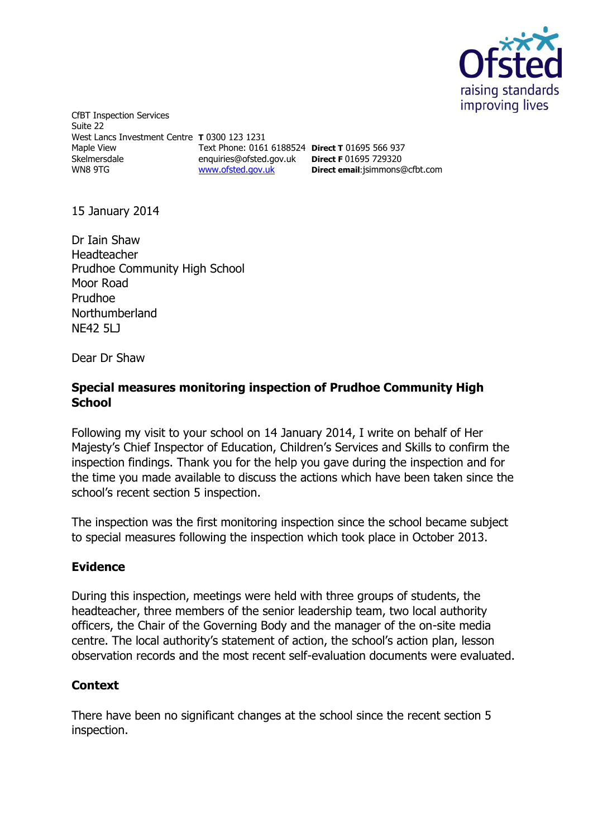

CfBT Inspection Services Suite 22 West Lancs Investment Centre **T** 0300 123 1231 Maple View Skelmersdale WN8 9TG [www.ofsted.gov.uk](http://www.ofsted.gov.uk/)

Text Phone: 0161 6188524 **Direct T** 01695 566 937 enquiries@ofsted.gov.uk **Direct F** 01695 729320 **Direct email**:[jsimmons@cfbt.com](../../mrjevans/AppData/Local/Microsoft/Windows/Temporary%20Internet%20Files/Content.IE5/XNCXISEO/jsimmons@cfbt.com)

15 January 2014

Dr Iain Shaw Headteacher Prudhoe Community High School Moor Road Prudhoe Northumberland NF42 5L1

Dear Dr Shaw

## **Special measures monitoring inspection of Prudhoe Community High School**

Following my visit to your school on 14 January 2014, I write on behalf of Her Majesty's Chief Inspector of Education, Children's Services and Skills to confirm the inspection findings. Thank you for the help you gave during the inspection and for the time you made available to discuss the actions which have been taken since the school's recent section 5 inspection.

The inspection was the first monitoring inspection since the school became subject to special measures following the inspection which took place in October 2013.

## **Evidence**

During this inspection, meetings were held with three groups of students, the headteacher, three members of the senior leadership team, two local authority officers, the Chair of the Governing Body and the manager of the on-site media centre. The local authority's statement of action, the school's action plan, lesson observation records and the most recent self-evaluation documents were evaluated.

## **Context**

There have been no significant changes at the school since the recent section 5 inspection.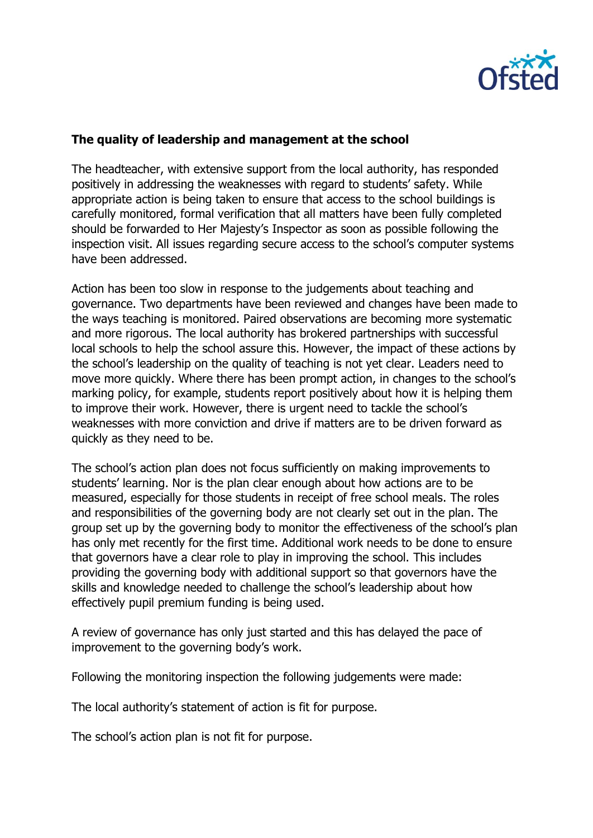

## **The quality of leadership and management at the school**

The headteacher, with extensive support from the local authority, has responded positively in addressing the weaknesses with regard to students' safety. While appropriate action is being taken to ensure that access to the school buildings is carefully monitored, formal verification that all matters have been fully completed should be forwarded to Her Majesty's Inspector as soon as possible following the inspection visit. All issues regarding secure access to the school's computer systems have been addressed.

Action has been too slow in response to the judgements about teaching and governance. Two departments have been reviewed and changes have been made to the ways teaching is monitored. Paired observations are becoming more systematic and more rigorous. The local authority has brokered partnerships with successful local schools to help the school assure this. However, the impact of these actions by the school's leadership on the quality of teaching is not yet clear. Leaders need to move more quickly. Where there has been prompt action, in changes to the school's marking policy, for example, students report positively about how it is helping them to improve their work. However, there is urgent need to tackle the school's weaknesses with more conviction and drive if matters are to be driven forward as quickly as they need to be.

The school's action plan does not focus sufficiently on making improvements to students' learning. Nor is the plan clear enough about how actions are to be measured, especially for those students in receipt of free school meals. The roles and responsibilities of the governing body are not clearly set out in the plan. The group set up by the governing body to monitor the effectiveness of the school's plan has only met recently for the first time. Additional work needs to be done to ensure that governors have a clear role to play in improving the school. This includes providing the governing body with additional support so that governors have the skills and knowledge needed to challenge the school's leadership about how effectively pupil premium funding is being used.

A review of governance has only just started and this has delayed the pace of improvement to the governing body's work.

Following the monitoring inspection the following judgements were made:

The local authority's statement of action is fit for purpose.

The school's action plan is not fit for purpose.